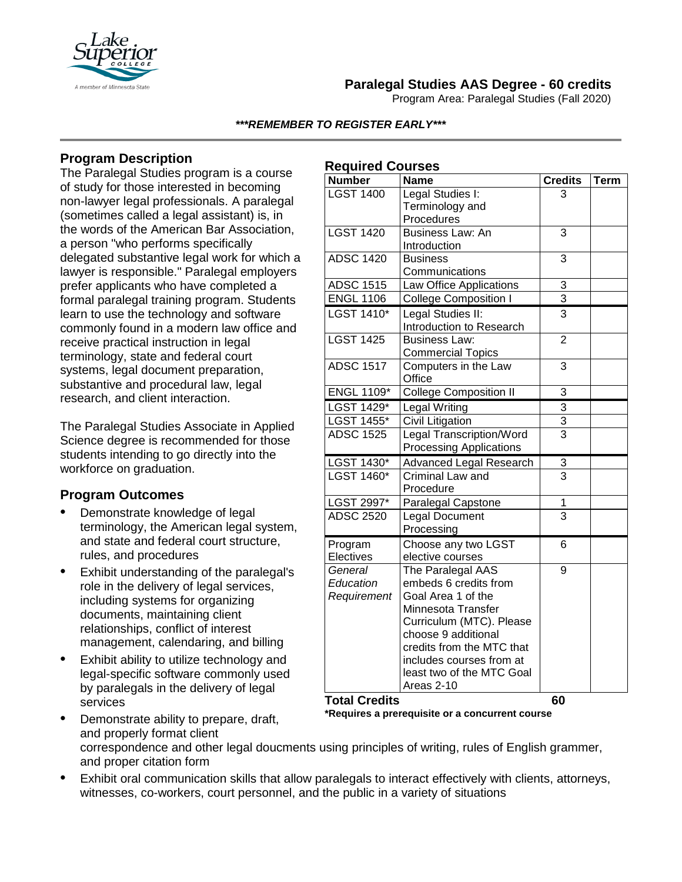

# **Paralegal Studies AAS Degree - 60 credits**

Program Area: Paralegal Studies (Fall 2020)

#### *\*\*\*REMEMBER TO REGISTER EARLY\*\*\**

**Required Courses**

## **Program Description**

The Paralegal Studies program is a course of study for those interested in becoming non-lawyer legal professionals. A paralegal (sometimes called a legal assistant) is, in the words of the American Bar Association, a person "who performs specifically delegated substantive legal work for which a lawyer is responsible." Paralegal employers prefer applicants who have completed a formal paralegal training program. Students learn to use the technology and software commonly found in a modern law office and receive practical instruction in legal terminology, state and federal court systems, legal document preparation, substantive and procedural law, legal research, and client interaction.

The Paralegal Studies Associate in Applied Science degree is recommended for those students intending to go directly into the workforce on graduation.

### **Program Outcomes**

- Demonstrate knowledge of legal terminology, the American legal system, and state and federal court structure, rules, and procedures
- Exhibit understanding of the paralegal's role in the delivery of legal services, including systems for organizing documents, maintaining client relationships, conflict of interest management, calendaring, and billing
- Exhibit ability to utilize technology and legal-specific software commonly used by paralegals in the delivery of legal services

• Demonstrate ability to prepare, draft,

| <b>Number</b>        | <b>Name</b>                     | <b>Credits</b> | <b>Term</b> |
|----------------------|---------------------------------|----------------|-------------|
| <b>LGST 1400</b>     | Legal Studies I:                | 3              |             |
|                      | Terminology and                 |                |             |
|                      | Procedures                      |                |             |
| <b>LGST 1420</b>     | Business Law: An                | 3              |             |
|                      | Introduction                    |                |             |
| <b>ADSC 1420</b>     | <b>Business</b>                 | 3              |             |
|                      | Communications                  |                |             |
| <b>ADSC 1515</b>     | Law Office Applications         | 3              |             |
| <b>ENGL 1106</b>     | <b>College Composition I</b>    | $\overline{3}$ |             |
| LGST 1410*           | Legal Studies II:               | 3              |             |
|                      | Introduction to Research        |                |             |
| <b>LGST 1425</b>     | <b>Business Law:</b>            | $\overline{2}$ |             |
|                      | <b>Commercial Topics</b>        |                |             |
| <b>ADSC 1517</b>     | Computers in the Law            | 3              |             |
|                      | Office                          |                |             |
| <b>ENGL 1109*</b>    | <b>College Composition II</b>   | 3              |             |
| LGST 1429*           | Legal Writing                   | $\overline{3}$ |             |
| <b>LGST 1455*</b>    | <b>Civil Litigation</b>         | $\overline{3}$ |             |
| <b>ADSC 1525</b>     | <b>Legal Transcription/Word</b> | $\overline{3}$ |             |
|                      | <b>Processing Applications</b>  |                |             |
| LGST 1430*           | Advanced Legal Research         | 3              |             |
| <b>LGST 1460*</b>    | Criminal Law and                | $\overline{3}$ |             |
|                      | Procedure                       |                |             |
| LGST 2997*           | Paralegal Capstone              | 1              |             |
| <b>ADSC 2520</b>     | <b>Legal Document</b>           | $\overline{3}$ |             |
|                      | Processing                      |                |             |
| Program              | Choose any two LGST             | 6              |             |
| Electives            | elective courses                |                |             |
| General              | The Paralegal AAS               | 9              |             |
| Education            | embeds 6 credits from           |                |             |
| Requirement          | Goal Area 1 of the              |                |             |
|                      | Minnesota Transfer              |                |             |
|                      | Curriculum (MTC). Please        |                |             |
|                      | choose 9 additional             |                |             |
|                      | credits from the MTC that       |                |             |
|                      | includes courses from at        |                |             |
|                      | least two of the MTC Goal       |                |             |
|                      | Areas 2-10                      |                |             |
| <b>Total Credits</b> |                                 | 60             |             |

**\*Requires a prerequisite or a concurrent course**

- and properly format client correspondence and other legal doucments using principles of writing, rules of English grammer, and proper citation form
- Exhibit oral communication skills that allow paralegals to interact effectively with clients, attorneys, witnesses, co-workers, court personnel, and the public in a variety of situations